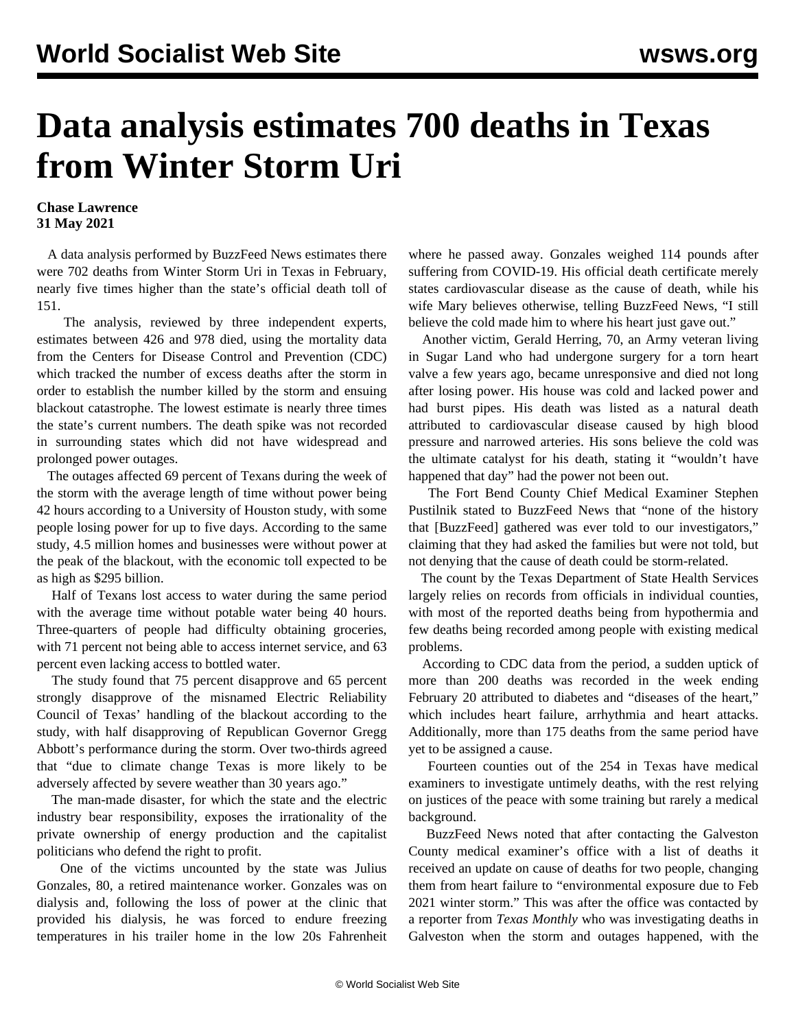## **Data analysis estimates 700 deaths in Texas from Winter Storm Uri**

## **Chase Lawrence 31 May 2021**

 A data analysis performed by BuzzFeed News estimates there were 702 deaths from Winter Storm Uri in Texas in February, nearly five times higher than the state's official death toll of 151.

 The analysis, reviewed by three independent experts, estimates between 426 and 978 died, using the mortality data from the Centers for Disease Control and Prevention (CDC) which tracked the number of excess deaths after the storm in order to establish the number killed by the storm and ensuing blackout catastrophe. The lowest estimate is nearly three times the state's current numbers. The death spike was not recorded in surrounding states which did not have widespread and prolonged power outages.

 The outages affected 69 percent of Texans during the week of the storm with the average length of time without power being 42 hours according to a University of Houston study, with some people losing power for up to five days. According to the same study, 4.5 million homes and businesses were without power at the peak of the blackout, with the economic toll expected to be as high as \$295 billion.

 Half of Texans lost access to water during the same period with the average time without potable water being 40 hours. Three-quarters of people had difficulty obtaining groceries, with 71 percent not being able to access internet service, and 63 percent even lacking access to bottled water.

 The study found that 75 percent disapprove and 65 percent strongly disapprove of the misnamed Electric Reliability Council of Texas' handling of the blackout according to the study, with half disapproving of Republican Governor Gregg Abbott's performance during the storm. Over two-thirds agreed that "due to climate change Texas is more likely to be adversely affected by severe weather than 30 years ago."

 The man-made disaster, for which the state and the electric industry bear responsibility, exposes the irrationality of the private ownership of energy production and the capitalist politicians who defend the right to profit.

 One of the victims uncounted by the state was Julius Gonzales, 80, a retired maintenance worker. Gonzales was on dialysis and, following the loss of power at the clinic that provided his dialysis, he was forced to endure freezing temperatures in his trailer home in the low 20s Fahrenheit where he passed away. Gonzales weighed 114 pounds after suffering from COVID-19. His official death certificate merely states cardiovascular disease as the cause of death, while his wife Mary believes otherwise, telling BuzzFeed News, "I still believe the cold made him to where his heart just gave out."

 Another victim, Gerald Herring, 70, an Army veteran living in Sugar Land who had undergone surgery for a torn heart valve a few years ago, became unresponsive and died not long after losing power. His house was cold and lacked power and had burst pipes. His death was listed as a natural death attributed to cardiovascular disease caused by high blood pressure and narrowed arteries. His sons believe the cold was the ultimate catalyst for his death, stating it "wouldn't have happened that day" had the power not been out.

 The Fort Bend County Chief Medical Examiner Stephen Pustilnik stated to BuzzFeed News that "none of the history that [BuzzFeed] gathered was ever told to our investigators," claiming that they had asked the families but were not told, but not denying that the cause of death could be storm-related.

 The count by the Texas Department of State Health Services largely relies on records from officials in individual counties, with most of the reported deaths being from hypothermia and few deaths being recorded among people with existing medical problems.

 According to CDC data from the period, a sudden uptick of more than 200 deaths was recorded in the week ending February 20 attributed to diabetes and "diseases of the heart," which includes heart failure, arrhythmia and heart attacks. Additionally, more than 175 deaths from the same period have yet to be assigned a cause.

 Fourteen counties out of the 254 in Texas have medical examiners to investigate untimely deaths, with the rest relying on justices of the peace with some training but rarely a medical background.

 BuzzFeed News noted that after contacting the Galveston County medical examiner's office with a list of deaths it received an update on cause of deaths for two people, changing them from heart failure to "environmental exposure due to Feb 2021 winter storm." This was after the office was contacted by a reporter from *Texas Monthly* who was investigating deaths in Galveston when the storm and outages happened, with the